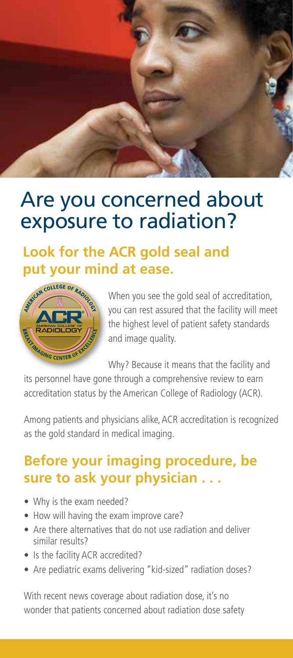

# Are you concerned about exposure to radiation?

# **Look for the ACR gold seal and put your mind at ease.**



When you see the gold seal of accreditation, you can rest assured that the facility will meet the highest level of patient safety standards and image quality.

Why? Because it means that the facility and

its personnel have gone through a comprehensive review to earn accreditation status by the American College of Radiology (ACR).

Among patients and physicians alike, ACR accreditation is recognized as the gold standard in medical imaging.

### **Before your imaging procedure, be sure to ask your physician . . .**

- Why is the exam needed?
- How will having the exam improve care?
- Are there alternatives that do not use radiation and deliver similar results?
- Is the facility ACR accredited?
- Are pediatric exams delivering "kid-sized" radiation doses?

With recent news coverage about radiation dose, it's no wonder that patients concerned about radiation dose safety